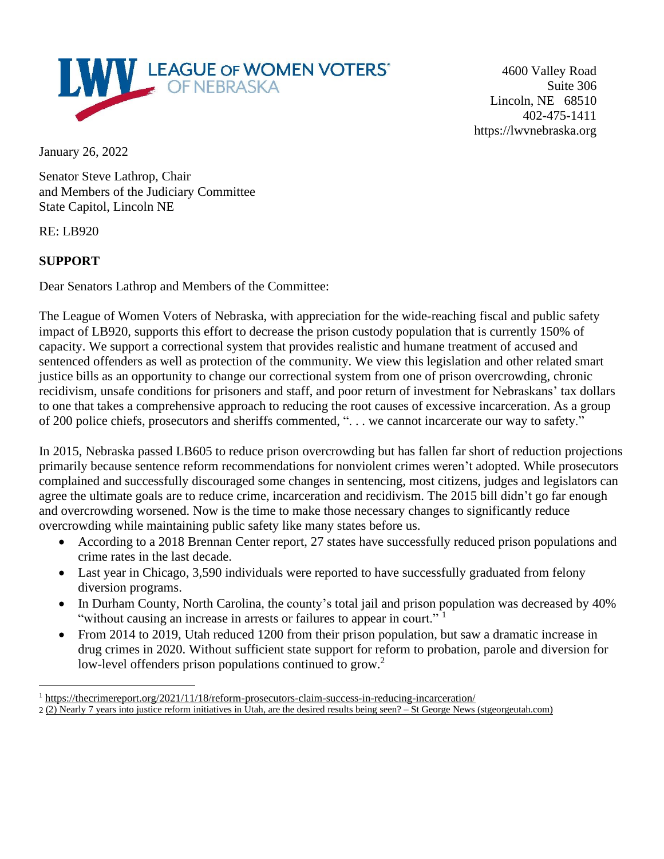

4600 Valley Road Suite 306 Lincoln, NE 68510 402-475-1411 https://lwvnebraska.org

January 26, 2022

Senator Steve Lathrop, Chair and Members of the Judiciary Committee State Capitol, Lincoln NE

RE: LB920

## **SUPPORT**

Dear Senators Lathrop and Members of the Committee:

The League of Women Voters of Nebraska, with appreciation for the wide-reaching fiscal and public safety impact of LB920, supports this effort to decrease the prison custody population that is currently 150% of capacity. We support a correctional system that provides realistic and humane treatment of accused and sentenced offenders as well as protection of the community. We view this legislation and other related smart justice bills as an opportunity to change our correctional system from one of prison overcrowding, chronic recidivism, unsafe conditions for prisoners and staff, and poor return of investment for Nebraskans' tax dollars to one that takes a comprehensive approach to reducing the root causes of excessive incarceration. As a group of 200 police chiefs, prosecutors and sheriffs commented, ". . . we cannot incarcerate our way to safety."

In 2015, Nebraska passed LB605 to reduce prison overcrowding but has fallen far short of reduction projections primarily because sentence reform recommendations for nonviolent crimes weren't adopted. While prosecutors complained and successfully discouraged some changes in sentencing, most citizens, judges and legislators can agree the ultimate goals are to reduce crime, incarceration and recidivism. The 2015 bill didn't go far enough and overcrowding worsened. Now is the time to make those necessary changes to significantly reduce overcrowding while maintaining public safety like many states before us.

- According to a 2018 Brennan Center report, 27 states have successfully reduced prison populations and crime rates in the last decade.
- Last year in Chicago, 3,590 individuals were reported to have successfully graduated from felony diversion programs.
- In Durham County, North Carolina, the county's total jail and prison population was decreased by 40% "without causing an increase in arrests or failures to appear in court."<sup>1</sup>
- From 2014 to 2019, Utah reduced 1200 from their prison population, but saw a dramatic increase in drug crimes in 2020. Without sufficient state support for reform to probation, parole and diversion for low-level offenders prison populations continued to grow.<sup>2</sup>

<sup>&</sup>lt;sup>1</sup> <https://thecrimereport.org/2021/11/18/reform-prosecutors-claim-success-in-reducing-incarceration/> 2 (2) Nearly 7 years into justice reform initiatives in Utah, are the desired results being seen? – St George News [\(stgeorgeutah.com\)](https://www.stgeorgeutah.com/news/archive/2021/11/03/cgb-nearly-7-years-into-justice-reform-initiatives-in-utah-are-the-desired-results-being-seen/)